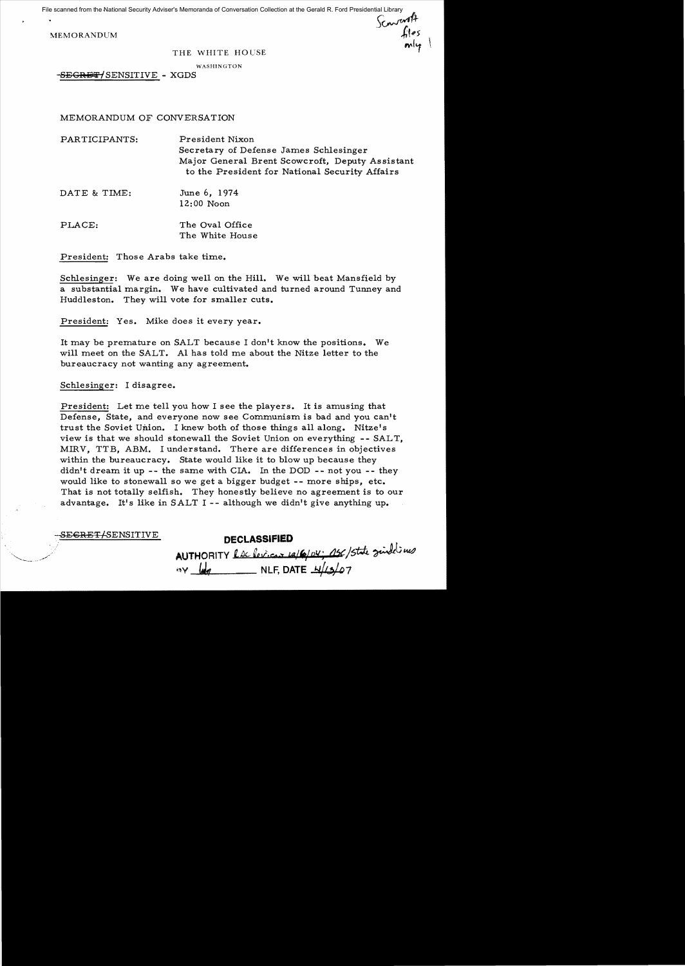File scanned from the National Security Adviser's Memoranda of Conversation Collection at the Gerald R. Ford Presidential Library<br>MEMORANDUM<br>MEMORANDUM

MEMORANDUM

#### THE WHITE HOUSE

WASHINGTON

-SEGRET/SENSITIVE - XGDS

MEMORANDUM OF CONVERSATION

PARTICIPANTS: President Nixon Secretary of Defense James Schlesinger Major General Brent Scowcroft, Deputy Assistant to the President for National Security Affairs

DATE & TIME: June 6, 1974 12:00 Noon

PLACE: The Oval Office The White House

President: Those Arabs take time.

Schlesinger: We are doing well on the Hill. We will beat Mansfield by a substantial margin. We have cultivated and turned around Tunney and Huddleston. They will vote for smaller cuts.

President: Yes. Mike does it every year.

It may be premature on SALT because I don't know the positions. We will meet on the SALT. Al has told me about the Nitze letter to the bureaucracy not wanting any agreement.

Schlesinger: I disagree.

President: Let me tell you how I see the players. It is amusing that Defense, State, and everyone now see Communism is bad and you can't trust the Soviet Union. I knew both of those things all along. Nitze's view is that we should stonewall the Soviet Union on everything -- SALT, MIRV, TTB, ABM. I understand. There are differences in objectives within the bureaucracy. State would like it to blow up because they didn't dream it up -- the same with  $CIA.$  In the DOD -- not you -- they would like to stonewall so we get a bigger budget -- more ships, etc. That is not totally selfish. They honestly believe no agreement is to our advantage. It's like in  $SALT$  I -- although we didn't give anything up.

. ' .sE~lH;'FI-SENSITIVE **DECLASSIFIED** 

AUTHORITY L<u>e levicus 12/6/04; ASC/State</u> June 140 **AUTHORITY COMPONED BY 4/13/07**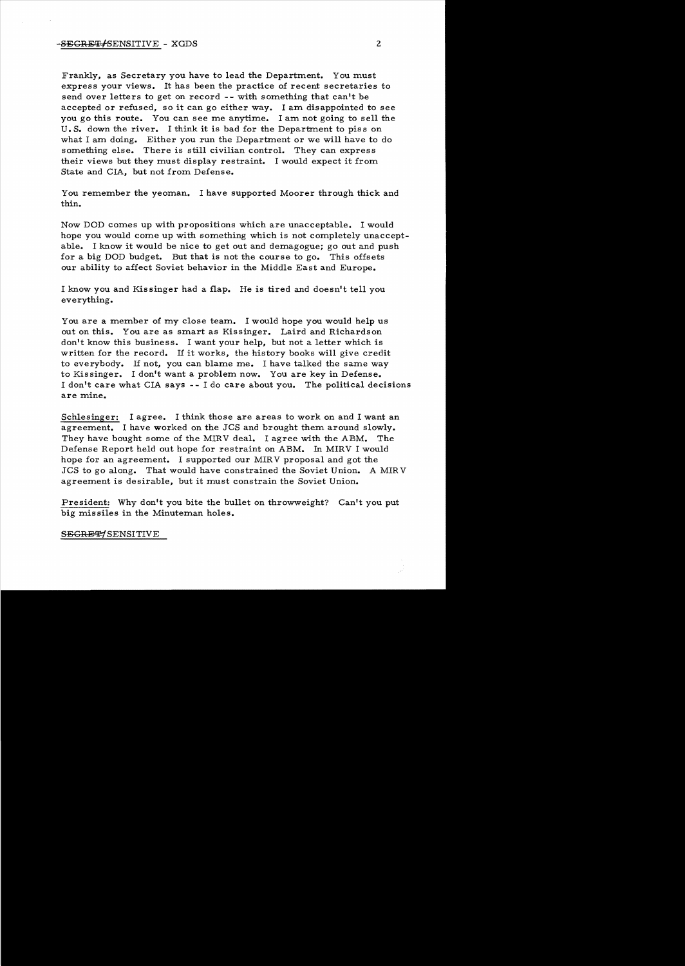Frankly, as Secretary you have to lead the Department. You must express your views. It has been the practice of recent secretaries to send over letters to get on record -- with something that can't be accepted or refused, so it can go either way. I am disappointed to see you go this route. You can see me anytime. I am not going to sell the U. S. down the river. I think it is bad for the Department to piss on what I am doing. Either you run the Department or we will have to do something else. There is still civilian control. They can express their views but they must display restraint. I would expect it from State and CIA, but not from Defense.

You remember the yeoman. I have supported Moorer through thick and thin.

Now DOD comes up with propositions which are unacceptable. I would hope you would come up with something which is not completely unacceptable. I know it would be nice to get out and demagogue; go out and push for a big DOD budget. But that is not the course to go. This offsets our ability to affect Soviet behavior in the Middle East and Europe.

I know you and Kissinger had a flap. He is tired and doesn't tell you everything.

You are a member of my close team. I would hope you would help us out on this. You are as smart as Kissinger. Laird and Richardson don't know this business. I want your help, but not a letter which is written for the record. If it works, the history books will give credit to everybody. If not, you can blame me. I have talked the same way to Kissinger. I don't want a problem now. You are key in Defense. I don't care what CIA says - - I do care about you. The political decisions are mine.

Schlesinger: I agree. I think those are areas to work on and I want an agreement. I have worked on the JCS and brought them around slowly. They have bought some of the MIRV deal. I agree with the ABM. The Defense Report held out hope for restraint on ABM. In MIRV I would hope for an agreement. I supported our MIRV proposal and got the JCS to go along. That would have constrained the Soviet Union. A MIR V agreement is desirable, but it must constrain the Soviet Union.

President: Why don't you bite the bullet on throwweight? Can't you put big missiles in the Minuteman holes.

SEGRET/SENSITIVE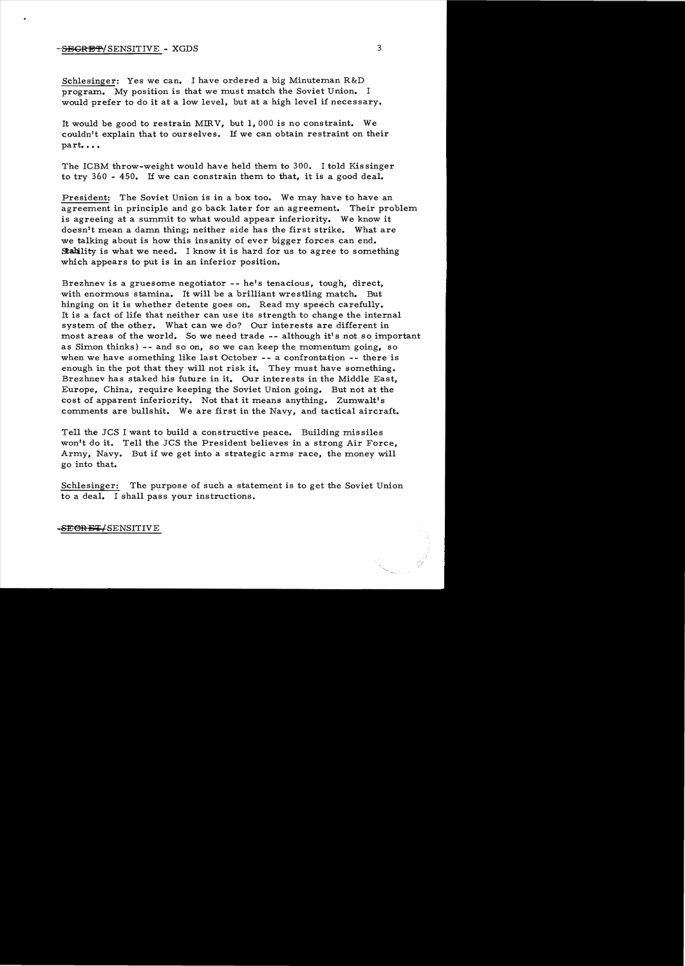# -SECRET/SENSITIVE - XGDS 3

Schlesinger: Yes we can. I have ordered a big Minuteman R&D program. My position is that we must match the Soviet Union. I would prefer to do it at a low level, but at a high level if necessary.

It would be good to restrain MIRV, but 1,000 is no constraint. We couldn't explain that to ourselves. If we can obtain restraint on their part....

The ICBM throw-weight would have held them to 300. I told Kissinger to try 360 - 450. If we can constrain them to that, it is a good deal.

President: The Soviet Union is in a box too. We may have to have an agreement in principle and go back later for an agreement. Their problem is agreeing at a summit to what would appear inferiority. We know it doesn't mean a damn thing; neither side has the first strike. What are we talking about is how this insanity of ever bigger forces can end. Stability is what we need. I know it is hard for us to agree to something which appears to put is in an inferior position.

Brezhnev is a gruesome negotiator -- he's tenacious, tough, direct, with enormous stamina. It will be a brilliant wrestling match. But hinging on it is whether detente goes on. Read my speech carefully. It is a fact of life that neither can use its strength to change the internal system of the other. What can we do? Our interests are different in most areas of the world. So we need trade -- although it's not so important as Simon thinks) -- and so on, so we can keep the momentum going, so when we have something like last October -- a confrontation -- there is enough in the pot that they will not risk it. They must have something. Brezhnev has staked his future in it. Our interests in the Middle East, Europe, China, require keeping the Soviet Union going. But not at the cost of apparent inferiority. Not that it means anything. Zumwalt's comments are bullshit. We are first in the Navy, and tactical aircraft.

Tell the JCS I want to build a constructive peace. Building missiles won't do it. Tell the JCS the President believes in a strong Air Force, Army, Navy. But if we get into a strategic arms race, the money will go into that.

Schlesinger: The purpose of such a statement is to get the Soviet Union to a deal. I shall pass your instructions.

-SECRET/SENSITIVE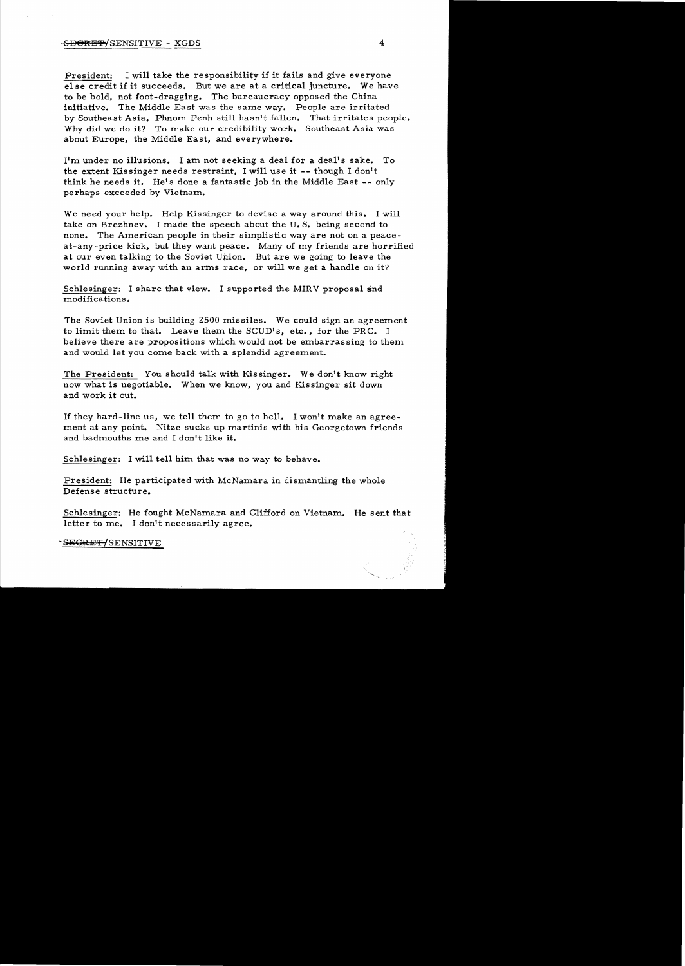# $-$ S<del>E@RET/</del>SENSITIVE - XGDS 4

President: I will take the responsibility if it fails and give everyone el se credit if it succeeds. But we are at a critical juncture. We have to be bold, not foot-dragging. The bureaucracy opposed the China initiative. The Middle East was the same way. People are irritated by Southeast Asia, Phnom Penh still hasn't fallen. That irritates people. Why did we do it? To make our credibility work. Southeast Asia was about Europe, the Middle East, and everywhere.

I'm under no illusions. I am not seeking a deal for a deal's sake. To the extent Kissinger needs restraint, I will use it -- though I don't think he needs it. He's done a fantastic job in the Middle East -- only perhaps exceeded by Vietnam.

We need your help. Help Kissinger to devise a way around this. I will take on Brezhnev. I made the speech about the U. S. being second to none. The American people in their simplistic way are not on a peaceat-any-price kick, but they want peace. Many of my friends are horrified at our even talking to the Soviet Union. But are we going to leave the world running away with an arms race, or will we get a handle on it?

Schlesinger: I share that view. I supported the MIRV proposal and modifications.

The Soviet Union is building 2500 missiles. We could sign an agreement to limit them to that. Leave them the SCUD's, etc., for the PRC. I believe there are propositions which would not be embarrassing to them and would let you come back with a splendid agreement.

The President: You should talk with Kissinger. We don't know right now what is negotiable. When we know, you and Kissinger sit down and work it out.

If they hard-line us, we tell them to go to hell. I won't make an agreement at any point. Nitze sucks up martinis with his Georgetown friends and badmouths me and I don't like it.

Schlesinger: I will tell him that was no way to behave.

President: He participated with McNamara in dismantling the whole Defense structure.

Schlesinger: He fought McNamara and Clifford on Vietnam. He sent that letter to me. I don't necessarily agree.

-SEGRET/SENSITIVE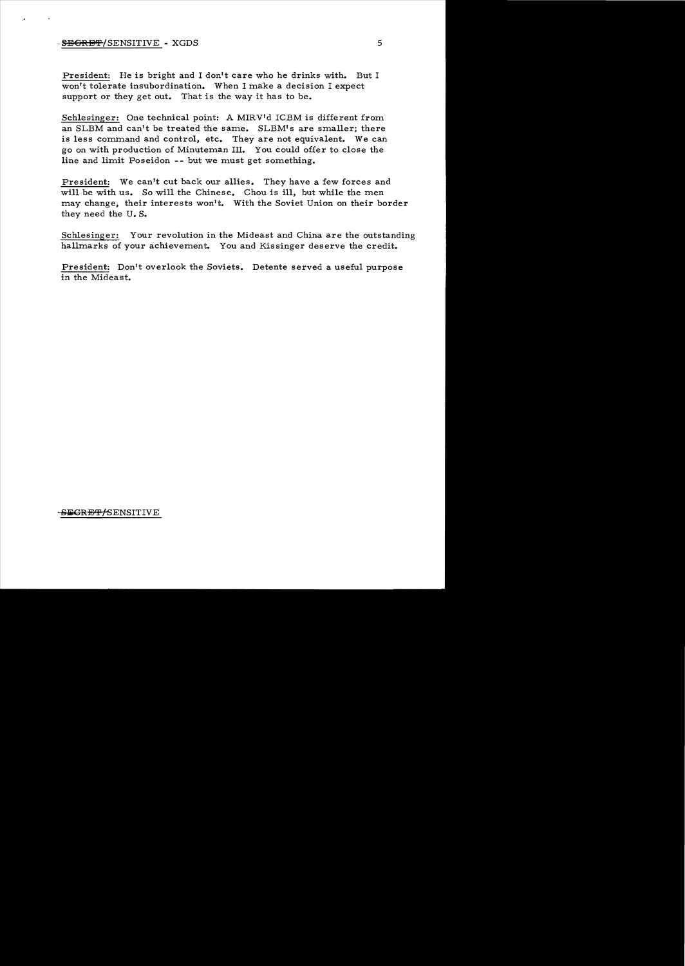## $-$  <del>SECRET</del>/SENSITIVE - XGDS 5

President: He is bright and I don't care who he drinks with. But I won't tolerate insubordination. When I make a decision I expect support or they get out. That is the way it has to be.

Schlesinger: One technical point: A MIRV'd ICBM is different from an SLBM and can't be treated the same. SLBM's are smaller; there is less command and control, etc. They are not equivalent. We can go on with production of Minuteman III. You could offer to close the line and limit Poseidon -- but we must get something.

President: We can't cut back our allies. They have a few forces and will be with us. So will the Chinese. Chou is ill, but while the men may change, their interests won't. With the Soviet Union on their border they need the U. S.

Schlesinger: Your revolution in the Mideast and China are the outstanding hallmarks of your achievement. You and Kissinger deserve the credit.

President: Don't overlook the Soviets. Detente served a useful purpose in the Mideast.

### SEGRET/SENSITIVE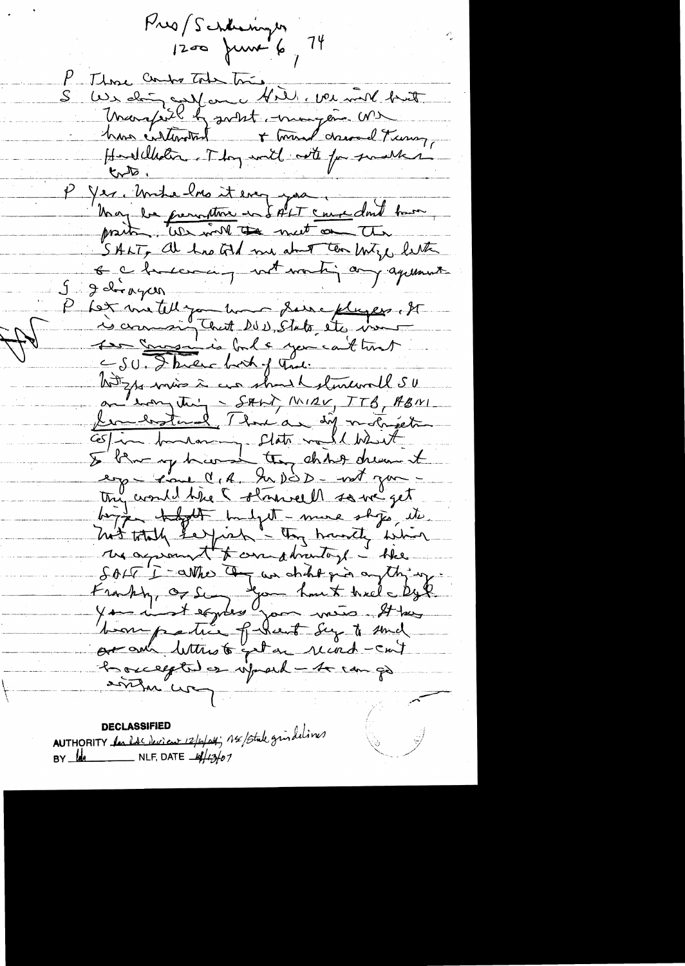Pres Schleinger 14 P . Those Combe Toda Tomes S Wes ching on faul et al. ver mil but Margiel & solet, mongen Mr Hardelholm. They will note for smaller P Yer, Unhe 2no it ever pai ; une dont bour SALT, at has told me at the later o charlesaing with working agreement  $9 - 2$  dirayen P Let me telle jou lui deux pluses. It Les Samedies balc you catters hotzps min à cur should storewall SU <u>lembotand 7 hours differentiert</u> Costin hussen clats melle hist thy would tree I starvell so we get boyque thought hadget - mure ships, etc. hit totally see pick - they handly which we agreement to care abrentingle - the SOLT I-arrive Commander pois anything bon patie fleut Sy to sund out aux lettres 6 get an record-cut hocelegted on informal - to can go anthu "ur

AUTHORITY <u>les lacieurs 12/6/04</u>; 14/5tule gris delives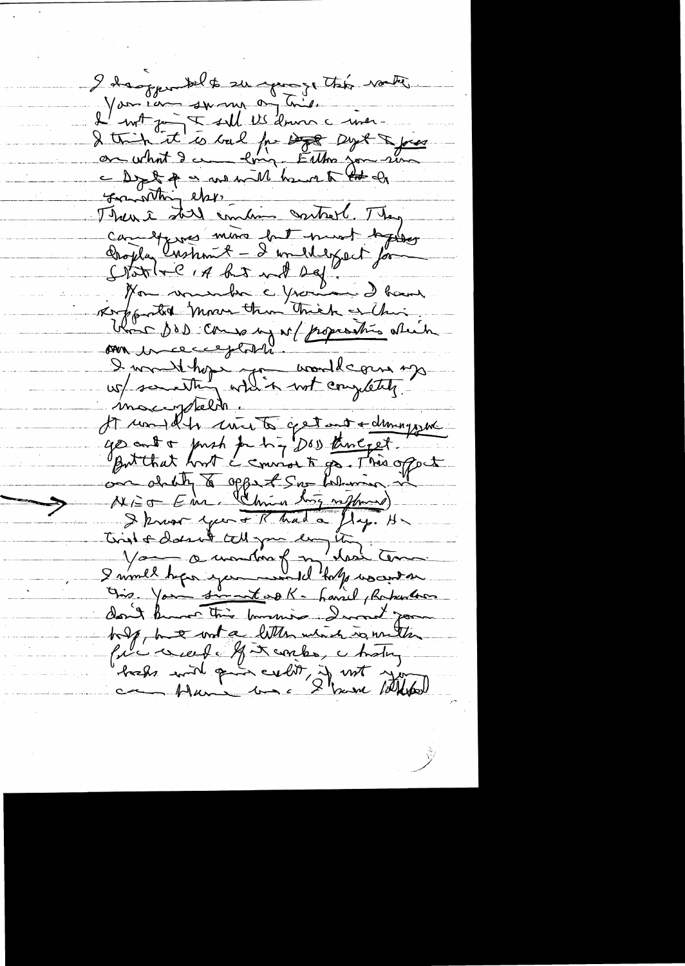I danger belt surgeonge this water You can swam on this.<br>I with the swall be drive a with -<br>I thin it is ball for Dog - and -<br>on what I are long - Either you was<br>- Dog & a we will be a to the of franothing else. Then I till combine control. They Campbers more but must texte Stative, A ha not bef" Non vousuble c you Roppolit Morre than Thick blanc des coussant populations etain I would hope you would come up mongoletin It would be court a get and a dimigrant I know you + R had a fly. H Tingh & doesn't tell you be Your a montre for "to be wocental" Ons. Your simet of K- Laviel, Republic don't know this knowing . I won't go holp, but work a litten which is mitte fili viert la Fincarles, chating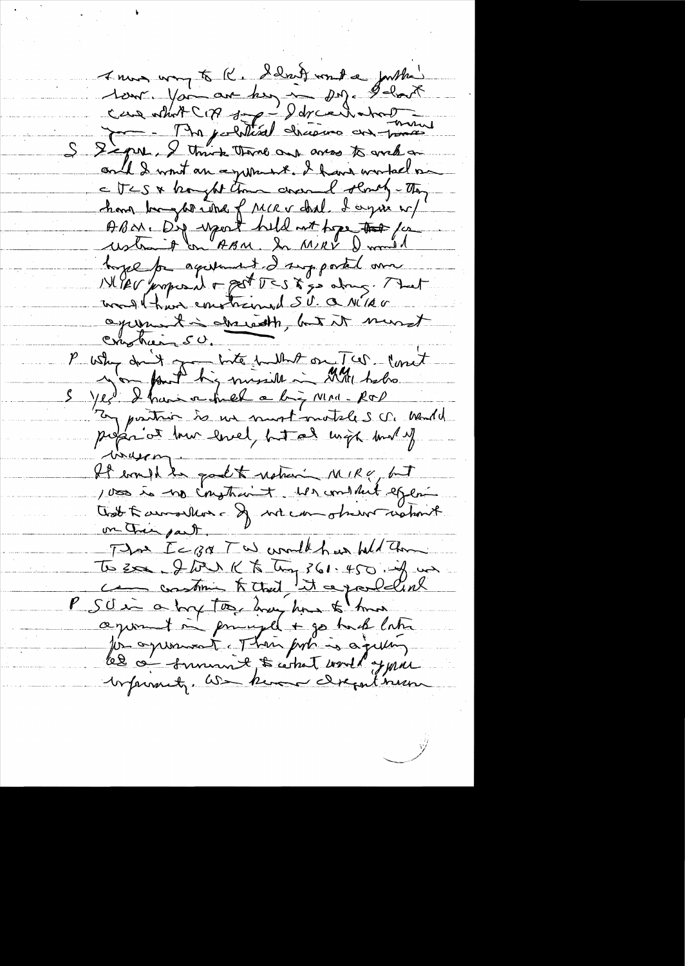I mos way to K. School wont a forther 1erre Vac av hen in 29. Ilant Signe, I think thank out awas to write on and I want an equiner I have worked in a UCS & brought than anemal sendy-They have be glorided frece dal d'ague n/ ABON. D'y report held not tope to for ustrait on ABM. In MRV Durald toge for againment I supported and was than emphaned SU. a NIAG agreement in absolution, but it must crushier 50. P why drift for the hunt on Two lovet profat at low level, hotal with but y inuson-It would ke good to national MIRY, but 1000 is no impticaint. We content effect Trat Farmoulles - If we can observationnel. on their part. That Ice 30 Two world has held the To zon & but K Ting ?61.450. if un P SO in a long took toney how to have aground in principal + go touch later for agreement. Then put is agitting le c' summe, to what would y pare brannet, as know dreput new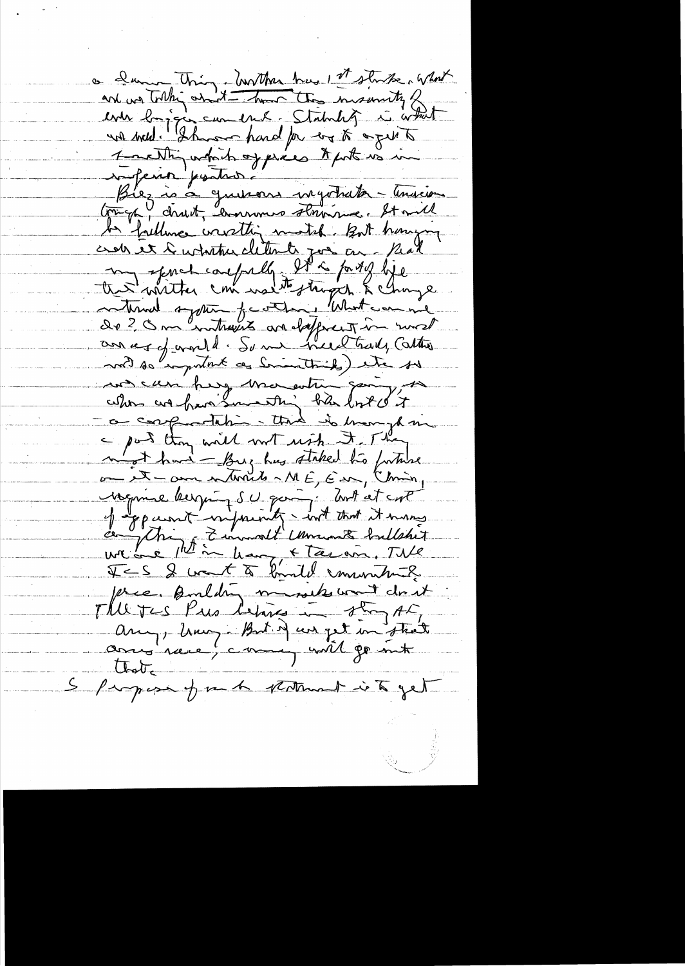a change thing, hurthan has I that what and we tothis what the momenty of which we are the momenty of which we will be defined to the which we will denote Grigo, charit, ennunce straite. It will be faiture wirthin motel. But honing crob et l'urbitaire cliterate pour con- Real the writter confully It is forty life de 2 Om entreres andeligerent in most and so emportant as Smoothing etc. so un can heg ma entre going, a corportation that is mongh in m'est hand - Buz hus staked to fortune Negime bergning s'es quois i dont et cort JES & want to kindel community. price, Building minister want don't The Tes Pue between they AL, Any, huiz But d'un pet in street Closte S Progress of me to petermant is to get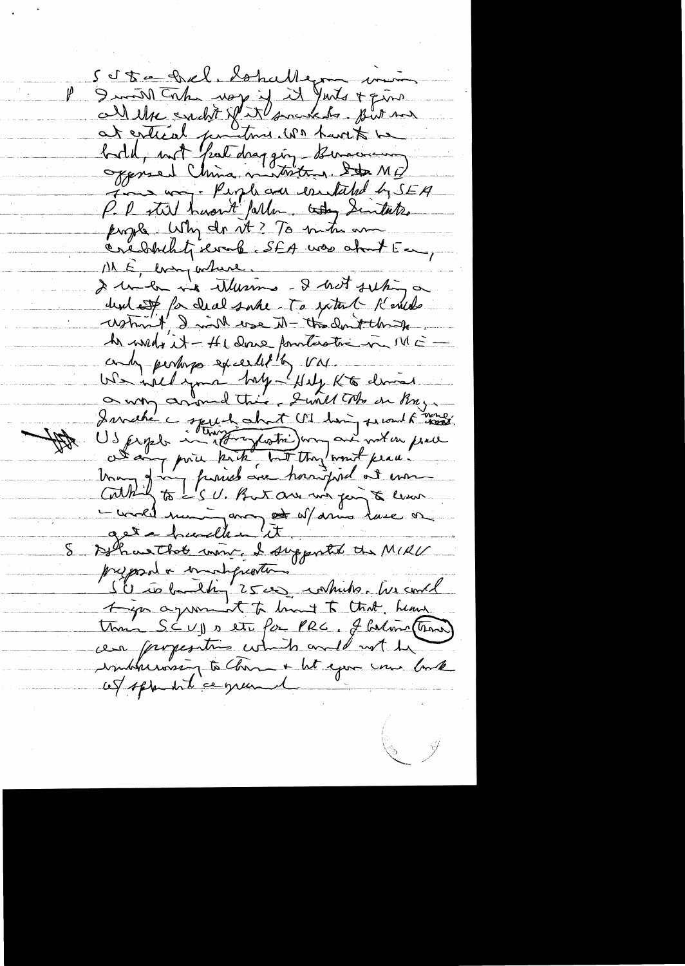5 Sta Del, Sohallegon min I will take way if it Junts & quinc bild, not fait dragging tourcomment James way. People and contained by SEA P. P. still haven't fallen today Sintake prophe Why do it? To mitu am ME, every where. I under me thereins - I hat subing a dent est for deal suber To with Kenedo What I will erse M- the don't thank An week it - He dowe fourterative in MEandy perhaps exceedle by VM. We will your hay - Hely Kt demind Is prophe computation du la minister de la minister de la minister de la minister de la minister de la minister<br>Una prince de la minister de la minister de la minister de la minister de la minister de la minister de la min - wold mui anget af amo lase or Déhaus That mont, le supportal et MIRU St to band ty 2500 contribs. We could Ago agreement to limit to that heave Unic SCVI sette for PRC. J Calma (Trans) cen properations which and not be indernoon to home + ht epox une book cet sprendit ce grand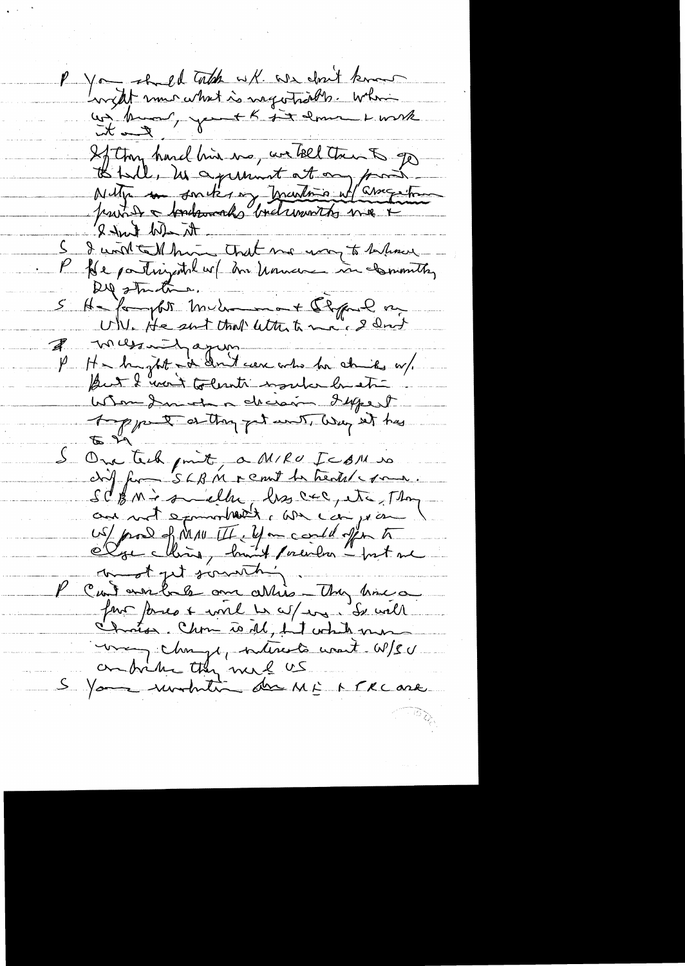P You shall total with whe don't know wer kunn, you + K dit erne 1 mik If they hard his us, we feel then to ge to tail, in agreement at an front the able kink 8' I will talk him that me way to behave P fle participation et me nouveau in committer Dil structure. He for the sunt that with to me of land I messait apon une de la chies w/ Whom I must a decision daysed A pport at they get with way at has S One tech point, a MIRU ICAM cif for SLBM remit to health roma. SCBM's smiller, les crc, etc, Thom and not examinable to we can year US/ prod of MAU III. You could offer to wordt get sommething. P cantendre au attis - They time a una change, nécrets unet W/SU S You until du ME MERCORE